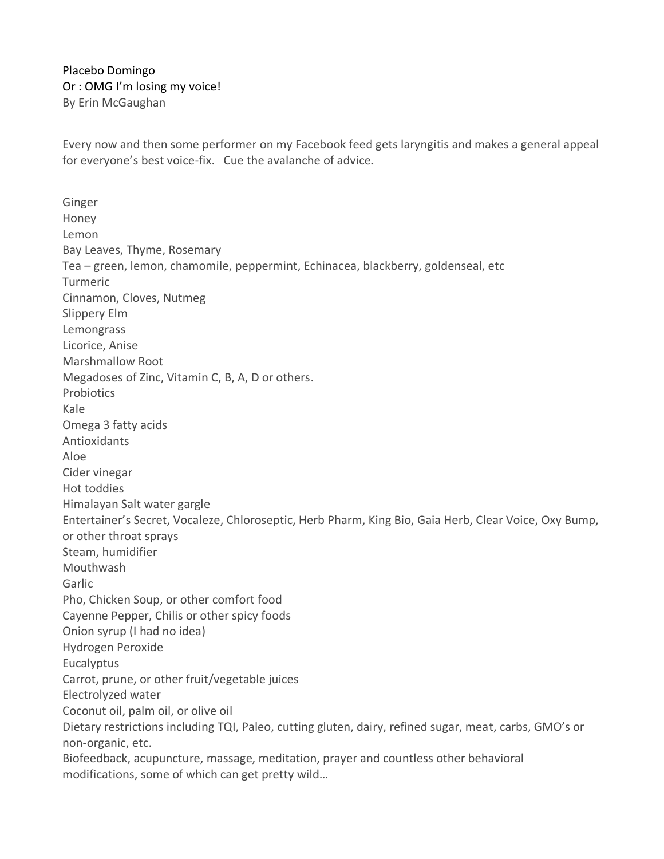Placebo Domingo Or : OMG I'm losing my voice! By Erin McGaughan

Every now and then some performer on my Facebook feed gets laryngitis and makes a general appeal for everyone's best voice-fix. Cue the avalanche of advice.

Ginger Honey Lemon Bay Leaves, Thyme, Rosemary Tea – green, lemon, chamomile, peppermint, Echinacea, blackberry, goldenseal, etc Turmeric Cinnamon, Cloves, Nutmeg Slippery Elm Lemongrass Licorice, Anise Marshmallow Root Megadoses of Zinc, Vitamin C, B, A, D or others. **Probiotics** Kale Omega 3 fatty acids Antioxidants Aloe Cider vinegar Hot toddies Himalayan Salt water gargle Entertainer's Secret, Vocaleze, Chloroseptic, Herb Pharm, King Bio, Gaia Herb, Clear Voice, Oxy Bump, or other throat sprays Steam, humidifier Mouthwash Garlic Pho, Chicken Soup, or other comfort food Cayenne Pepper, Chilis or other spicy foods Onion syrup (I had no idea) Hydrogen Peroxide **Eucalyptus** Carrot, prune, or other fruit/vegetable juices Electrolyzed water Coconut oil, palm oil, or olive oil Dietary restrictions including TQI, Paleo, cutting gluten, dairy, refined sugar, meat, carbs, GMO's or non-organic, etc. Biofeedback, acupuncture, massage, meditation, prayer and countless other behavioral modifications, some of which can get pretty wild…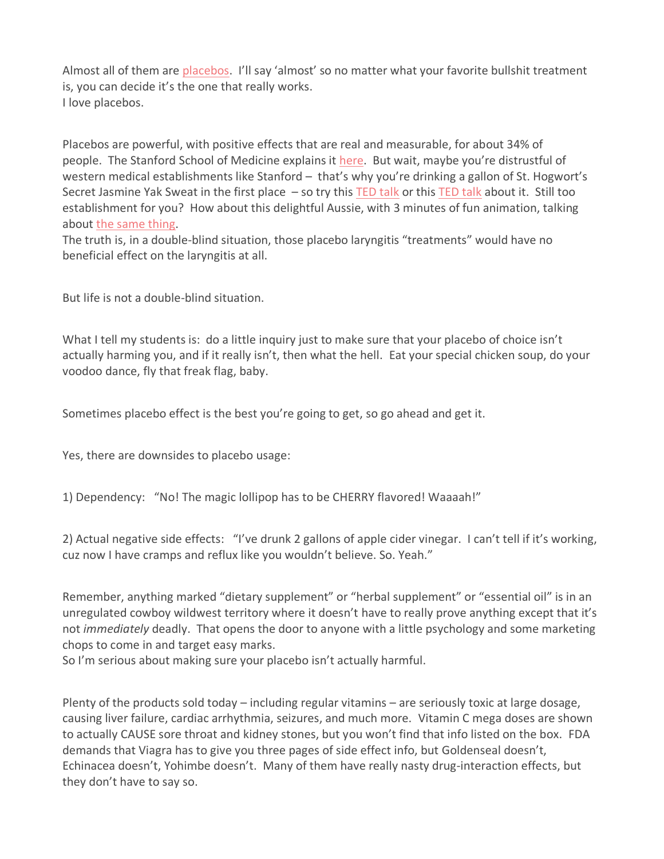Almost all of them are [placebos.](https://en.wikipedia.org/wiki/Placebo) I'll say 'almost' so no matter what your favorite bullshit treatment is, you can decide it's the one that really works. I love placebos.

Placebos are powerful, with positive effects that are real and measurable, for about 34% of people. The Stanford School of Medicine explains it [here.](https://www.youtube.com/watch?v=udJ31KKXBKk) But wait, maybe you're distrustful of western medical establishments like Stanford – that's why you're drinking a gallon of St. Hogwort's Secret Jasmine Yak Sweat in the first place – so try this [TED](https://www.ted.com/talks/eric_mead_the_magic_of_the_placebo?language=en#t-37458) talk or this TED talk about it. Still too establishment for you? How about this delightful Aussie, with 3 minutes of fun animation, talking about the same [thing.](https://www.youtube.com/watch?v=yfRVCaA5o18)

The truth is, in a double-blind situation, those placebo laryngitis "treatments" would have no beneficial effect on the laryngitis at all.

But life is not a double-blind situation.

What I tell my students is: do a little inquiry just to make sure that your placebo of choice isn't actually harming you, and if it really isn't, then what the hell. Eat your special chicken soup, do your voodoo dance, fly that freak flag, baby.

Sometimes placebo effect is the best you're going to get, so go ahead and get it.

Yes, there are downsides to placebo usage:

1) Dependency: "No! The magic lollipop has to be CHERRY flavored! Waaaah!"

2) Actual negative side effects: "I've drunk 2 gallons of apple cider vinegar. I can't tell if it's working, cuz now I have cramps and reflux like you wouldn't believe. So. Yeah."

Remember, anything marked "dietary supplement" or "herbal supplement" or "essential oil" is in an unregulated cowboy wildwest territory where it doesn't have to really prove anything except that it's not *immediately* deadly. That opens the door to anyone with a little psychology and some marketing chops to come in and target easy marks.

So I'm serious about making sure your placebo isn't actually harmful.

Plenty of the products sold today – including regular vitamins – are seriously toxic at large dosage, causing liver failure, cardiac arrhythmia, seizures, and much more. Vitamin C mega doses are shown to actually CAUSE sore throat and kidney stones, but you won't find that info listed on the box. FDA demands that Viagra has to give you three pages of side effect info, but Goldenseal doesn't, Echinacea doesn't, Yohimbe doesn't. Many of them have really nasty drug-interaction effects, but they don't have to say so.